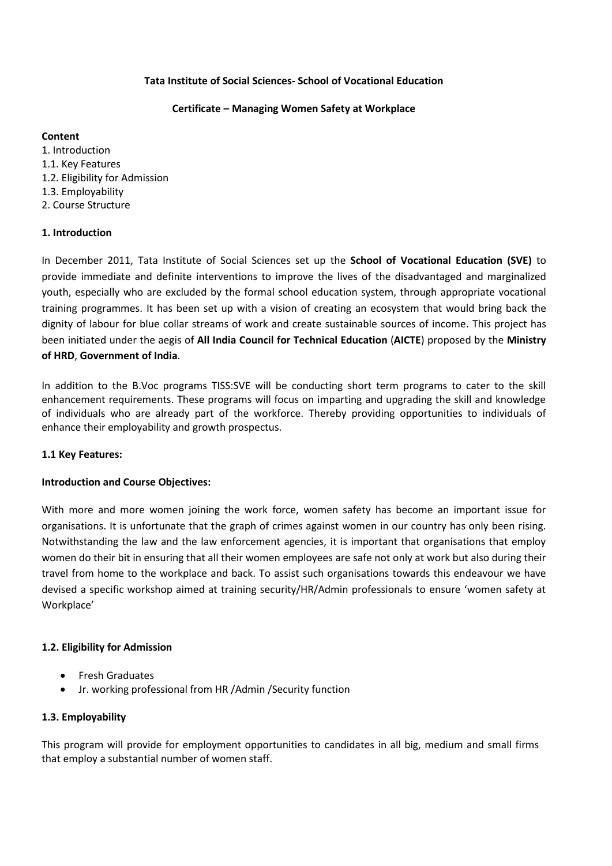# **Tata Institute of Social Sciences- School of Vocational Education**

# **Certificate – Managing Women Safety at Workplace**

# **Content**

1. Introduction 1.1. Key Features 1.2. Eligibility for Admission 1.3. Employability 2. Course Structure

# **1. Introduction**

In December 2011, Tata Institute of Social Sciences set up the **School of Vocational Education (SVE)** to provide immediate and definite interventions to improve the lives of the disadvantaged and marginalized youth, especially who are excluded by the formal school education system, through appropriate vocational training programmes. It has been set up with a vision of creating an ecosystem that would bring back the dignity of labour for blue collar streams of work and create sustainable sources of income. This project has been initiated under the aegis of **All India Council for Technical Education** (**AICTE**) proposed by the **Ministry of HRD**, **Government of India**.

In addition to the B.Voc programs TISS:SVE will be conducting short term programs to cater to the skill enhancement requirements. These programs will focus on imparting and upgrading the skill and knowledge of individuals who are already part of the workforce. Thereby providing opportunities to individuals of enhance their employability and growth prospectus.

# **1.1 Key Features:**

# **Introduction and Course Objectives:**

With more and more women joining the work force, women safety has become an important issue for organisations. It is unfortunate that the graph of crimes against women in our country has only been rising. Notwithstanding the law and the law enforcement agencies, it is important that organisations that employ women do their bit in ensuring that all their women employees are safe not only at work but also during their travel from home to the workplace and back. To assist such organisations towards this endeavour we have devised a specific workshop aimed at training security/HR/Admin professionals to ensure 'women safety at Workplace'

# **1.2. Eligibility for Admission**

- **•** Fresh Graduates
- Jr. working professional from HR /Admin /Security function

# **1.3. Employability**

This program will provide for employment opportunities to candidates in all big, medium and small firms that employ a substantial number of women staff.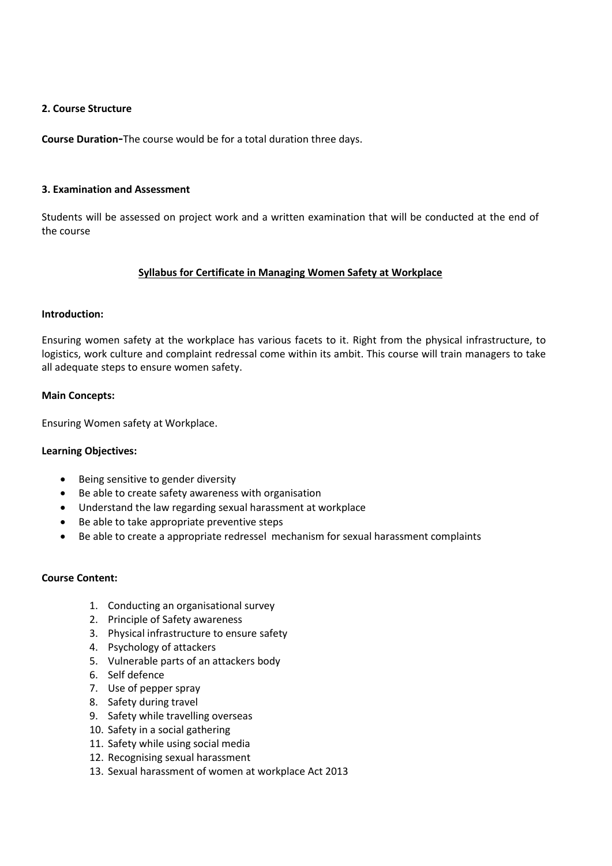# **2. Course Structure**

**Course Duration-**The course would be for a total duration three days.

# **3. Examination and Assessment**

Students will be assessed on project work and a written examination that will be conducted at the end of the course

# **Syllabus for Certificate in Managing Women Safety at Workplace**

# **Introduction:**

Ensuring women safety at the workplace has various facets to it. Right from the physical infrastructure, to logistics, work culture and complaint redressal come within its ambit. This course will train managers to take all adequate steps to ensure women safety.

# **Main Concepts:**

Ensuring Women safety at Workplace.

# **Learning Objectives:**

- Being sensitive to gender diversity
- Be able to create safety awareness with organisation
- Understand the law regarding sexual harassment at workplace
- Be able to take appropriate preventive steps
- Be able to create a appropriate redressel mechanism for sexual harassment complaints

# **Course Content:**

- 1. Conducting an organisational survey
- 2. Principle of Safety awareness
- 3. Physical infrastructure to ensure safety
- 4. Psychology of attackers
- 5. Vulnerable parts of an attackers body
- 6. Self defence
- 7. Use of pepper spray
- 8. Safety during travel
- 9. Safety while travelling overseas
- 10. Safety in a social gathering
- 11. Safety while using social media
- 12. Recognising sexual harassment
- 13. Sexual harassment of women at workplace Act 2013